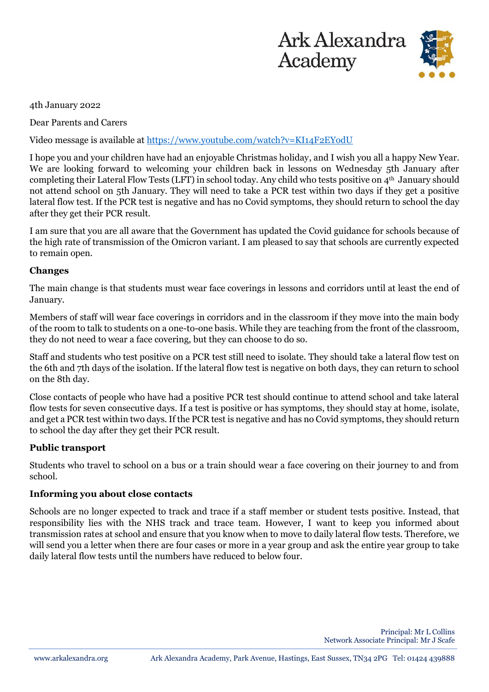



4th January 2022

Dear Parents and Carers

Video message is available at<https://www.youtube.com/watch?v=KI14F2EYodU>

I hope you and your children have had an enjoyable Christmas holiday, and I wish you all a happy New Year. We are looking forward to welcoming your children back in lessons on Wednesday 5th January after completing their Lateral Flow Tests (LFT) in school today. Any child who tests positive on 4th January should not attend school on 5th January. They will need to take a PCR test within two days if they get a positive lateral flow test. If the PCR test is negative and has no Covid symptoms, they should return to school the day after they get their PCR result.

I am sure that you are all aware that the Government has updated the Covid guidance for schools because of the high rate of transmission of the Omicron variant. I am pleased to say that schools are currently expected to remain open.

# **Changes**

The main change is that students must wear face coverings in lessons and corridors until at least the end of January.

Members of staff will wear face coverings in corridors and in the classroom if they move into the main body of the room to talk to students on a one-to-one basis. While they are teaching from the front of the classroom, they do not need to wear a face covering, but they can choose to do so.

Staff and students who test positive on a PCR test still need to isolate. They should take a lateral flow test on the 6th and 7th days of the isolation. If the lateral flow test is negative on both days, they can return to school on the 8th day.

Close contacts of people who have had a positive PCR test should continue to attend school and take lateral flow tests for seven consecutive days. If a test is positive or has symptoms, they should stay at home, isolate, and get a PCR test within two days. If the PCR test is negative and has no Covid symptoms, they should return to school the day after they get their PCR result.

## **Public transport**

Students who travel to school on a bus or a train should wear a face covering on their journey to and from school.

## **Informing you about close contacts**

Schools are no longer expected to track and trace if a staff member or student tests positive. Instead, that responsibility lies with the NHS track and trace team. However, I want to keep you informed about transmission rates at school and ensure that you know when to move to daily lateral flow tests. Therefore, we will send you a letter when there are four cases or more in a year group and ask the entire year group to take daily lateral flow tests until the numbers have reduced to below four.